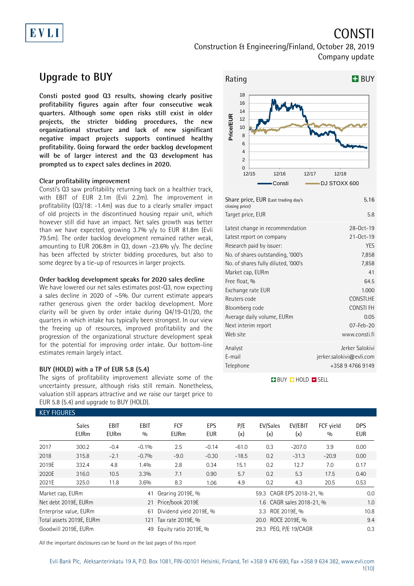# EVLI

# **CONSTI**

Construction & Engineering/Finland, October 28, 2019 Company update

## **Upgrade to BUY**

**Consti posted good Q3 results, showing clearly positive profitability figures again after four consecutive weak quarters. Although some open risks still exist in older projects, the stricter bidding procedures, the new organizational structure and lack of new significant negative impact projects supports continued healthy profitability. Going forward the order backlog development will be of larger interest and the Q3 development has prompted us to expect sales declines in 2020.** 

### **Clear profitability improvement**

Consti's Q3 saw profitability returning back on a healthier track, with EBIT of EUR 2.1m (Evli 2.2m). The improvement in profitability (Q3/18: -1.4m) was due to a clearly smaller impact of old projects in the discontinued housing repair unit, which however still did have an impact. Net sales growth was better than we have expected, growing 3.7% y/y to EUR 81.8m (Evli 79.5m). The order backlog development remained rather weak, amounting to EUR 206.8m in  $Q_3$ , down -23.6% y/y. The decline has been affected by stricter bidding procedures, but also to some degree by a tie-up of resources in larger projects.

### **Order backlog development speaks for 2020 sales decline**

We have lowered our net sales estimates post-Q3, now expecting a sales decline in 2020 of ~5%. Our current estimate appears rather generous given the order backlog development. More clarity will be given by order intake during Q4/19-Q1/20, the quarters in which intake has typically been strongest. In our view the freeing up of resources, improved profitability and the progression of the organizational structure development speak for the potential for improving order intake. Our bottom-line estimates remain largely intact.

### **BUY (HOLD) with a TP of EUR 5.8 (5.4)**

The signs of profitability improvement alleviate some of the uncertainty pressure, although risks still remain. Nonetheless, valuation still appears attractive and we raise our target price to EUR 5.8 (5.4) and upgrade to BUY (HOLD).



| Share price, EUR (Last trading day's<br>closing price)                                                                                                                                                                                        | 5.16                                                                                                                  |
|-----------------------------------------------------------------------------------------------------------------------------------------------------------------------------------------------------------------------------------------------|-----------------------------------------------------------------------------------------------------------------------|
| Target price, EUR                                                                                                                                                                                                                             | 5.8                                                                                                                   |
| Latest change in recommendation<br>Latest report on company<br>Research paid by issuer:<br>No. of shares outstanding, '000's<br>No. of shares fully diluted, '000's<br>Market cap, EURm<br>Free float, %<br>Exchange rate EUR<br>Reuters code | 28-Oct-19<br>21-Oct-19<br><b>YES</b><br>7,858<br>7,858<br>41<br>64.5<br>1.000<br>CONSTI.HE                            |
| Bloomberg code<br>Average daily volume, EURm<br>Next interim report<br>Web site<br>Analyst<br>F-mail                                                                                                                                          | CONSTI FH<br>0.05<br>07-Feb-20<br>www.consti.fi<br>Jerker Salokivi<br>$j$ erker.salokivi@evli.com<br>+358 9 4766 9149 |
| Telephone                                                                                                                                                                                                                                     |                                                                                                                       |

**BUY QHOLD SELL** 

| <b>KEY FIGURES</b> |                             |                            |                    |                           |            |                           |                          |                |                  |                          |
|--------------------|-----------------------------|----------------------------|--------------------|---------------------------|------------|---------------------------|--------------------------|----------------|------------------|--------------------------|
|                    | <b>Sales</b><br><b>EURm</b> | <b>EBIT</b><br><b>EURm</b> | <b>EBIT</b><br>0/0 | <b>FCF</b><br><b>EURm</b> | EPS<br>EUR | P/E<br>(x)                | EV/Sales<br>(x)          | EV/EBIT<br>(x) | FCF yield<br>0/0 | <b>DPS</b><br><b>EUR</b> |
| 2017               | 300.2                       | $-0.4$                     | $-0.1%$            | 2.5                       | $-0.14$    | $-61.0$                   | 0.3                      | $-207.0$       | 3.9              | 0.00                     |
| 2018               | 315.8                       | $-2.1$                     | $-0.7%$            | $-9.0$                    | $-0.30$    | $-18.5$                   | 0.2                      | $-31.3$        | $-20.9$          | 0.00                     |
| 2019E              | 332.4                       | 4.8                        | 1.4%               | 2.8                       | 0.34       | 15.1                      | 0.2                      | 12.7           | 7.0              | 0.17                     |
| 2020E              | 316.0                       | 10.5                       | 3.3%               | 7.1                       | 0.90       | 5.7                       | 0.2                      | 5.3            | 17.5             | 0.40                     |
| 2021E              | 325.0                       | 11.8                       | 3.6%               | 8.3                       | 1.06       | 4.9                       | 0.2                      | 4.3            | 20.5             | 0.53                     |
| Market cap, EURm   |                             |                            | 41                 | Gearing 2019E, %          |            |                           | 59.3 CAGR EPS 2018-21, % |                |                  | 0.0                      |
|                    | Net debt 2019E, EURm        |                            |                    | 21 Price/book 2019E       |            | 1.6 CAGR sales 2018-21, % |                          |                |                  | 1.0                      |
|                    | Enterprise value, EURm      |                            | 61                 | Dividend yield 2019E, %   |            | 3.3 ROE 2019E, %          |                          |                |                  | 10.8                     |
|                    | Total assets 2019E, EURm    |                            | 121                | Tax rate 2019E, %         |            | 20.0 ROCE 2019E, %        |                          |                |                  | 9.4                      |
|                    | Goodwill 2019E. EURm        |                            | 49                 | Equity ratio 2019E, %     |            | 29.3 PEG, P/E 19/CAGR     |                          |                |                  | 0.3                      |

All the important disclosures can be found on the last pages of this report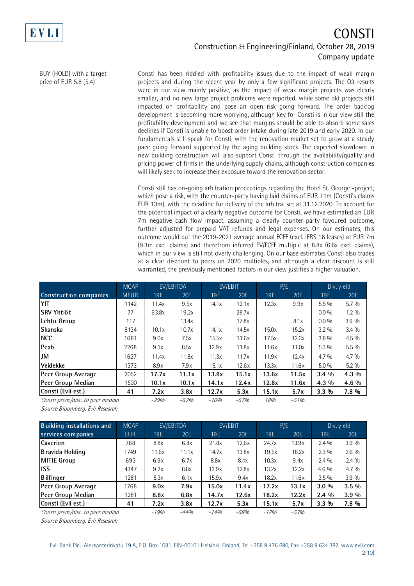

### CONSTI Construction & Engineering/Finland, October 28, 2019 Company update

BUY (HOLD) with a target price of EUR 5.8 (5.4)

Consti has been riddled with profitability issues due to the impact of weak margin projects and during the recent year by only a few significant projects. The Q3 results were in our view mainly positive, as the impact of weak margin projects was clearly smaller, and no new large project problems were reported, while some old projects still impacted on profitability and pose an open risk going forward. The order backlog development is becoming more worrying, although key for Consti is in our view still the profitability development and we see that margins should be able to absorb some sales declines if Consti is unable to boost order intake during late 2019 and early 2020. In our fundamentals still speak for Consti, with the renovation market set to grow at a steady pace going forward supported by the aging building stock. The expected slowdown in new building construction will also support Consti through the availability/quality and pricing power of firms in the underlying supply chains, although construction companies will likely seek to increase their exposure toward the renovation sector.

Consti still has on-going arbitration proceedings regarding the Hotel St. George -project, which pose a risk, with the counter-party having laid claims of EUR 11m (Consti's claims EUR 13m), with the deadline for delivery of the arbitral set at 31.12.2020. To account for the potential impact of a clearly negative outcome for Consti, we have estimated an EUR 7m negative cash flow impact, assuming a clearly counter-party favoured outcome, further adjusted for prepaid VAT refunds and legal expenses. On our estimates, this outcome would put the 2019-2021 average annual FCFF (excl. IFRS 16 leases) at EUR 7m (9.3m excl. claims) and therefrom inferred EV/FCFF multiple at 8.8x (6.6x excl. claims), which in our view is still not overly challenging. On our base estimates Consti also trades at a clear discount to peers on 2020 multiples, and although a clear discount is still warranted, the previously mentioned factors in our view justifies a higher valuation.

|                                   | <b>MCAP</b> |        | EV/EBITDA |        | EV/EBIT |       | P/E    | Div. yield |         |
|-----------------------------------|-------------|--------|-----------|--------|---------|-------|--------|------------|---------|
| <b>Construction companies</b>     | <b>MEUR</b> | 19E    | 20E       | 19E    | 20E     | 19E   | 20E    | 19E        | 20E     |
| YIT                               | 1142        | 11.4x  | 9.5x      | 14.1x  | 12.1x   | 12.3x | 9.9x   | $5.5\%$    | $5.7\%$ |
| <b>SRV Yhtiöt</b>                 | 77          | 63.8x  | 19.2x     |        | 28.7x   |       |        | $0.0\%$    | $1.2\%$ |
| Lehto Group                       | 117         |        | 13.4x     |        | 17.8x   |       | 8.1x   | $0.0\%$    | 3.9%    |
| <b>Skanska</b>                    | 8134        | 10.1x  | 10.7x     | 14.1x  | 14.5x   | 15.0x | 15.2x  | $3.2\%$    | $3.4\%$ |
| <b>NCC</b>                        | 1681        | 9.0x   | 7.5x      | 15.5x  | 11.6x   | 17.5x | 12.3x  | $3.8\%$    | $4.5\%$ |
| Peab                              | 2268        | 9.1x   | 8.5x      | 12.9x  | 11.8x   | 11.6x | 11.0x  | $5.3\%$    | $5.5\%$ |
| JM                                | 1627        | 11.4x  | 11.8x     | 11.3x  | 11.7x   | 11.9x | 12.4x  | $4.7\%$    | $4.7\%$ |
| <b>Veidekke</b>                   | 1373        | 8.9x   | 7.9x      | 15.1x  | 12.6x   | 13.3x | 11.6x  | $5.0\%$    | $5.2\%$ |
| Peer Group Average                | 2052        | 17.7x  | 11.1x     | 13.8x  | 15.1x   | 13.6x | 11.5x  | $3.4\%$    | $4.3\%$ |
| Peer Group Median                 | 1500        | 10.1x  | 10.1x     | 14.1x  | 12.4x   | 12.8x | 11.6x  | $4.3\%$    | $4.6\%$ |
| Consti (Evli est.)                | 41          | 7.2x   | 3.8x      | 12.7x  | 5.3x    | 15.1x | 5.7x   | $3.3\%$    | 7.8%    |
| Consti prem./disc. to peer median |             | $-29%$ | $-62%$    | $-10%$ | $-57%$  | 18%   | $-51%$ |            |         |

Source Bloomberg, Evli Research

| <b>Building installations and</b> | <b>MCAP</b> |        | EV/EBITDA |        | EV/EBIT | P/E    |         |         | Div. yield |
|-----------------------------------|-------------|--------|-----------|--------|---------|--------|---------|---------|------------|
| services companies                | <b>EUR</b>  | 19E    | 20E       | 19E    | 20E     | 19E    | 20E     | 19E     | 20E        |
| Caverion                          | 768         | 8.8x   | 6.8x      | 21.8x  | 12.6x   | 24.7x  | 13.9x   | $2.4\%$ | 3.9%       |
| Bravida Holding                   | 1749        | 11.6x  | 11.1x     | 14.7x  | 13.8x   | 19.5x  | 18.2x   | $2.3\%$ | $2.6\%$    |
| <b>MITIE Group</b>                | 693         | 6.9x   | 6.7x      | 8.8x   | 8.4x    | 10.3x  | 9.4x    | $2.4\%$ | $2.4\%$    |
| <b>ISS</b>                        | 4347        | 9.2x   | 8.8x      | 13.9x  | 12.8x   | 13.2x  | 12.2x   | $4.6\%$ | $4.7\%$    |
| <b>Bilfinger</b>                  | 1281        | 8.3x   | 6.1x      | 15.9x  | 9.4x    | 18.2x  | 11.6x   | $3.5\%$ | 3.9%       |
| Peer Group Average                | 1768        | 9.0x   | 7.9x      | 15.0x  | 11.4x   | 17.2x  | 13.1x   | $3.0\%$ | $3.5\%$    |
| Peer Group Median                 | 1281        | 8.8x   | 6.8x      | 14.7x  | 12.6x   | 18.2x  | 12.2x   | $2.4\%$ | $3.9\%$    |
| Consti (Evli est.)                | 41          | 7.2x   | 3.8x      | 12.7x  | 5.3x    | 15.1x  | 5.7x    | $3.3\%$ | 7.8 %      |
| Consti prem./disc. to peer median |             | $-19%$ | $-44%$    | $-14%$ | $-58%$  | $-17%$ | $-5.3%$ |         |            |

Source Bloomberg, Evli Research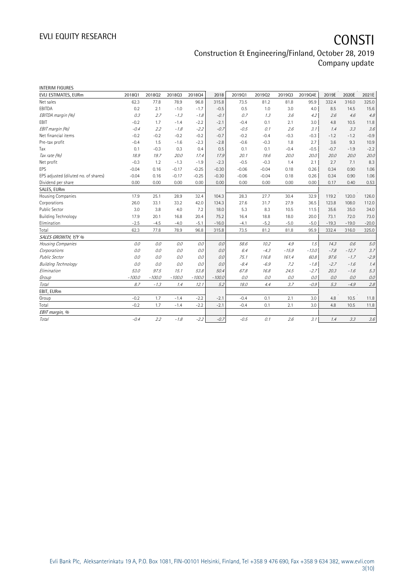| <b>INTERIM FIGURES</b>               |          |          |          |          |          |         |         |         |         |         |         |         |
|--------------------------------------|----------|----------|----------|----------|----------|---------|---------|---------|---------|---------|---------|---------|
| EVLI ESTIMATES, EURm                 | 201801   | 201802   | 201803   | 201804   | 2018     | 201901  | 201902  | 201903  | 2019Q4E | 2019E   | 2020E   | 2021E   |
| Net sales                            | 62.3     | 77.8     | 78.9     | 96.8     | 315.8    | 73.5    | 81.2    | 81.8    | 95.9    | 332.4   | 316.0   | 325.0   |
| EBITDA                               | 0.2      | 2.1      | $-1.0$   | $-1.7$   | $-0.5$   | 0.5     | 1.0     | 3.0     | 4.0     | 8.5     | 14.5    | 15.6    |
| EBITDA margin (%)                    | 0.3      | 2.7      | $-1.3$   | $-1.8$   | $-0.1$   | 0.7     | 1.3     | 3.6     | 4.2     | 2.6     | 4.6     | 4.8     |
| <b>EBIT</b>                          | $-0.2$   | 1.7      | $-1.4$   | $-2.2$   | $-2.1$   | $-0.4$  | 0.1     | 2.1     | 3.0     | 4.8     | 10.5    | 11.8    |
| EBIT margin (%)                      | $-0.4$   | 2.2      | $-1.8$   | $-2.2$   | $-0.7$   | $-0.5$  | 0.1     | 2.6     | 3.1     | 1.4     | 3.3     | 3.6     |
| Net financial items                  | $-0.2$   | $-0.2$   | $-0.2$   | $-0.2$   | $-0.7$   | $-0.2$  | $-0.4$  | $-0.3$  | $-0.3$  | $-1.2$  | $-1.2$  | $-0.9$  |
| Pre-tax profit                       | $-0.4$   | 1.5      | $-1.6$   | $-2.3$   | $-2.8$   | $-0.6$  | $-0.3$  | 1.8     | 2.7     | 3.6     | 9.3     | 10.9    |
| Tax                                  | 0.1      | $-0.3$   | 0.3      | 0.4      | 0.5      | 0.1     | 0.1     | $-0.4$  | $-0.5$  | $-0.7$  | $-1.9$  | $-2.2$  |
| Tax rate (%)                         | 18.9     | 19.7     | 20.0     | 17.4     | 17.9     | 20.1    | 19.6    | 20.0    | 20.0    | 20.0    | 20.0    | 20.0    |
| Net profit                           | $-0.3$   | 1.2      | $-1.3$   | $-1.9$   | $-2.3$   | $-0.5$  | $-0.3$  | 1.4     | 2.1     | 2.7     | 7.1     | 8.3     |
| EPS                                  | $-0.04$  | 0.16     | $-0.17$  | $-0.25$  | $-0.30$  | $-0.06$ | $-0.04$ | 0.18    | 0.26    | 0.34    | 0.90    | 1.06    |
| EPS adjusted (diluted no. of shares) | $-0.04$  | 0.16     | $-0.17$  | $-0.25$  | $-0.30$  | $-0.06$ | $-0.04$ | 0.18    | 0.26    | 0.34    | 0.90    | 1.06    |
| Dividend per share                   | 0.00     | 0.00     | 0.00     | 0.00     | 0.00     | 0.00    | 0.00    | 0.00    | 0.00    | 0.17    | 0.40    | 0.53    |
| SALES, EURm                          |          |          |          |          |          |         |         |         |         |         |         |         |
| Housing Companies                    | 17.9     | 25.1     | 28.9     | 32.4     | 104.3    | 28.3    | 27.7    | 30.4    | 32.9    | 119.2   | 120.0   | 126.0   |
| Corporations                         | 26.0     | 33.1     | 33.2     | 42.0     | 134.3    | 27.6    | 31.7    | 27.9    | 36.5    | 123.8   | 108.0   | 112.0   |
| Public Sector                        | 3.0      | 3.8      | 4.0      | 7.2      | 18.0     | 5.3     | 8.3     | 10.5    | 11.5    | 35.6    | 35.0    | 34.0    |
| <b>Building Technology</b>           | 17.9     | 20.1     | 16.8     | 20.4     | 75.2     | 16.4    | 18.8    | 18.0    | 20.0    | 73.1    | 72.0    | 73.0    |
| Elimination                          | $-2.5$   | $-4.5$   | $-4.0$   | $-5.1$   | $-16.0$  | $-4.1$  | $-5.2$  | $-5.0$  | $-5.0$  | $-19.3$ | $-19.0$ | $-20.0$ |
| Total                                | 62.3     | 77.8     | 78.9     | 96.8     | 315.8    | 73.5    | 81.2    | 81.8    | 95.9    | 332.4   | 316.0   | 325.0   |
| SALES GROWTH, Y/Y %                  |          |          |          |          |          |         |         |         |         |         |         |         |
| Housing Companies                    | 0.0      | 0.0      | 0.0      | 0.0      | 0.0      | 58.6    | 10.2    | 4.9     | 1.5     | 14.3    | 0.6     | 5.0     |
| Corporations                         | 0.0      | 0.0      | 0.0      | 0.0      | 0.0      | 6.4     | $-4.3$  | $-15.9$ | $-13.0$ | $-7.8$  | $-12.7$ | 3.7     |
| <b>Public Sector</b>                 | 0.0      | 0.0      | 0.0      | 0.0      | 0.0      | 75.1    | 116.8   | 161.4   | 60.8    | 97.6    | $-1.7$  | $-2.9$  |
| <b>Building Technology</b>           | 0.0      | 0.0      | 0.0      | 0.0      | 0.0      | $-8.4$  | $-6.9$  | 7.2     | $-1.8$  | $-2.7$  | $-1.6$  | 1.4     |
| Elimination                          | 53.0     | 97.5     | 15.1     | 53.8     | 50.4     | 67.8    | 16.8    | 24.5    | $-2.7$  | 20.3    | $-1.6$  | 5.3     |
| Group                                | $-100.0$ | $-100.0$ | $-100.0$ | $-100.0$ | $-100.0$ | 0.0     | 0.0     | 0.0     | 0.0     | 0.0     | 0.0     | 0.0     |
| Total                                | 8.7      | $-1.3$   | 1.4      | 12.1     | 5.2      | 18.0    | 4.4     | 3.7     | $-0.9$  | 5.3     | $-4.9$  | 2.8     |
| EBIT, EURm                           |          |          |          |          |          |         |         |         |         |         |         |         |
| Group                                | $-0.2$   | 1.7      | $-1.4$   | $-2.2$   | $-2.1$   | $-0.4$  | 0.1     | 2.1     | 3.0     | 4.8     | 10.5    | 11.8    |
| Total                                | $-0.2$   | 1.7      | $-1.4$   | $-2.2$   | $-2.1$   | $-0.4$  | 0.1     | 2.1     | 3.0     | 4.8     | 10.5    | 11.8    |
| EBIT margin, %                       |          |          |          |          |          |         |         |         |         |         |         |         |
| Total                                | $-0.4$   | 2.2      | $-1.8$   | $-2.2$   | $-0.7$   | $-0.5$  | 0.1     | 2.6     | 3.1     | 1.4     | 3.3     | 3.6     |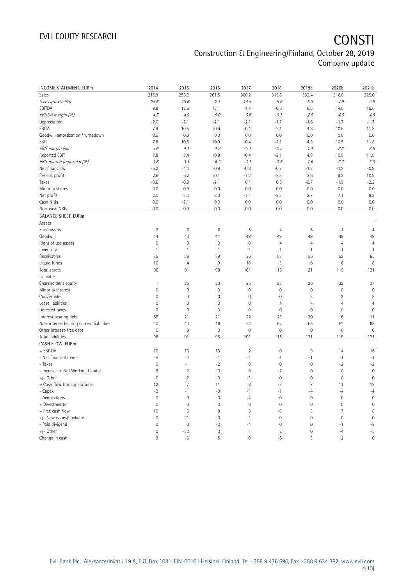# EVLI EQUITY RESEARCH **CONSTI**

## Construction & Engineering/Finland, October 28, 2019 Company update

| INCOME STATEMENT, EURm<br>215.9<br>256.2<br>261.5<br>300.2<br>315.8<br>332.4<br>316.0<br>Sales<br>25.6<br>2.1<br>5.2<br>Sales growth (%)<br>18.6<br>14.8<br>5.3<br>$-4.9$ | 325.0<br>2.8        |
|---------------------------------------------------------------------------------------------------------------------------------------------------------------------------|---------------------|
|                                                                                                                                                                           |                     |
|                                                                                                                                                                           |                     |
| EBITDA<br>9.8<br>12.6<br>13.1<br>1.7<br>$-0.5$<br>8.5<br>14.5                                                                                                             | 15.6                |
| EBITDA margin (%)<br>4.5<br>4.9<br>5.0<br>0.6<br>$-0.1$<br>2.6<br>4.6                                                                                                     | 4.8                 |
| Depreciation<br>$-2.0$<br>$-2.1$<br>$-2.1$<br>$-1.7$<br>$-2.1$<br>$-1.6$<br>$-1.7$                                                                                        | $-1.7$              |
| EBITA<br>7.8<br>10.5<br>10.9<br>$-0.4$<br>$-2.1$<br>4.8<br>10.5                                                                                                           | 11.8                |
| 0.0<br>Goodwill amortization / writedown<br>0.0<br>0.0<br>0.0<br>0.0<br>0.0<br>0.0                                                                                        | 0.0                 |
| EBIT<br>10.9<br>7.8<br>10.5<br>$-0.4$<br>$-2.1$<br>4.8<br>10.5                                                                                                            | 11.8                |
| EBIT margin (%)<br>3.6<br>4.2<br>$-0.1$<br>$-0.7$<br>3.3<br>4.1<br>1.4                                                                                                    | 3.6                 |
| Reported EBIT<br>10.9<br>10.5<br>7.8<br>8.4<br>$-0.4$<br>$-2.1$<br>4.8                                                                                                    | 11.8                |
| EBIT margin (reported) (%)<br>4.2<br>$-0.7$<br>3.3<br>3.6<br>3.3<br>$-0.1$<br>1.4                                                                                         | 3.6                 |
| $-5.2$<br>$-0.7$<br>$-1.2$<br>Net financials<br>$-4.4$<br>$-0.9$<br>$-0.8$<br>$-1.2$                                                                                      | $-0.9$              |
| Pre-tax profit<br>$-2.8$<br>9.3<br>2.6<br>6.2<br>10.1<br>$-1.2$<br>3.6                                                                                                    | 10.9                |
| $-0.6$<br>$-0.8$<br>$-2.1$<br>0.1<br>0.5<br>$-0.7$<br>$-1.9$<br>Taxes                                                                                                     | $-2.2$              |
| 0.0<br>0.0<br>Minority shares<br>0.0<br>0.0<br>0.0<br>0.0<br>0.0                                                                                                          | 0.0                 |
| Net profit<br>2.0<br>$-2.3$<br>7.1<br>3.3<br>8.0<br>$-1.1$<br>2.7                                                                                                         | 8.3                 |
| Cash NRIs<br>0.0<br>$-2.1$<br>0.0<br>0.0<br>0.0<br>0.0<br>0.0                                                                                                             | 0.0                 |
| 0.0<br>Non-cash NRIs<br>0.0<br>0.0<br>0.0<br>0.0<br>0.0<br>0.0                                                                                                            | 0.0                 |
| <b>BALANCE SHEET, EURm</b>                                                                                                                                                |                     |
| Assets                                                                                                                                                                    |                     |
| 5<br>Fixed assets<br>7<br>6<br>$\,6$<br>$\overline{4}$<br>5<br>$\overline{4}$                                                                                             | $\overline{4}$      |
| 44<br>49<br>Goodwill<br>44<br>43<br>49<br>49<br>49                                                                                                                        | 49                  |
| $\mathbf 0$<br>$\mathbf 0$<br>$\mathbf 0$<br>$\mathbf 0$<br>$\overline{4}$<br>$\overline{4}$<br>$\overline{4}$<br>Right of use assets                                     | $\overline{4}$      |
| Inventory<br>$\mathbf{1}$<br>$\mathbf{1}$<br>$\overline{1}$<br>$\mathbf{1}$<br>$\mathbf{1}$<br>$\mathbf{1}$<br>$\mathbf{1}$                                               | $\mathbf{1}$        |
| Receivables<br>35<br>36<br>39<br>36<br>53<br>56<br>53                                                                                                                     | 55                  |
| Liquid funds<br>10<br>$\overline{4}$<br>$9\,$<br>8<br>10<br>3<br>6                                                                                                        | 8                   |
| Total assets<br>96<br>91<br>98<br>101<br>121<br>119<br>115                                                                                                                | 121                 |
| Liabilities                                                                                                                                                               |                     |
| Shareholder's equity<br>$\mathbf{1}$<br>25<br>30<br>25<br>23<br>26<br>32                                                                                                  | 37                  |
| $\mathsf{O}\xspace$<br>$\mathbf 0$<br>$\mathbf 0$<br>$\mathbf 0$<br>$\mathbf 0$<br>$\mathsf{O}\xspace$<br>$\mathbf 0$<br>Minority interest                                | $\mathsf{O}\xspace$ |
| Convertibles<br>$\overline{0}$<br>0<br>$\mathbf{0}$<br>$\mathbf{0}$<br>$\mathbf 0$<br>3<br>3                                                                              | 3                   |
| Lease liabilities<br>$\overline{0}$<br>0<br>$\mathbf{0}$<br>$\mathbf{0}$<br>$\overline{4}$<br>$\overline{4}$<br>$\overline{4}$                                            | $\overline{4}$      |
| $\mathbf 0$<br>$\mathbf 0$<br>$\mathbf 0$<br>Deferred taxes<br>$\mathsf{O}\xspace$<br>$\mathbf 0$<br>$\mathsf{O}\xspace$<br>$\mathbf 0$                                   | $\mathbf 0$         |
| 55<br>21<br>Interest bearing debt<br>21<br>22<br>23<br>20<br>16                                                                                                           | 11                  |
| Non-interest bearing current liabilities<br>40<br>43<br>46<br>52<br>62<br>65<br>62                                                                                        | 63                  |
| $\mathbf 0$<br>$\mathbf 0$<br>Other interest-free debt<br>$\mathbf{0}$<br>$\mathbf{0}$<br>$\mathbf 0$<br>$\mathbf 0$<br>$\mathbf{0}$                                      | $\mathbf 0$         |
| Total liabilities<br>96<br>91<br>98<br>101<br>115<br>121<br>119                                                                                                           | 121                 |
| CASH FLOW, EURm                                                                                                                                                           |                     |
| + EBITDA<br>$\overline{2}$<br>10<br>13<br>13<br>$\mathbf 0$<br>$\,9$<br>14                                                                                                | 16                  |
| $-5$<br>$-1$<br>$-1$<br>- Net financial items<br>$-4$<br>$-1$<br>$-1$<br>$-1$                                                                                             | $-1$                |
| $\mathbf 0$<br>$-1$<br>$-2$<br>$\mathbf 0$<br>$\mathbf 0$<br>$\mathsf{O}\xspace$<br>$-2$<br>- Taxes                                                                       | $-2$                |
| $\overline{c}$<br>- Increase in Net Working Capital<br>8<br>$\mathbf 0$<br>8<br>$-7$<br>$\mathbf 0$<br>$\mathbf 0$                                                        | $\mathbf{0}$        |
| $+/-$ Other<br>$\mathsf{O}\xspace$<br>$-2$<br>$\mathbf 0$<br>$\mathbf 0$<br>$\mathsf{O}\xspace$<br>$\mathbf 0$<br>$-1$                                                    | $\mathbf 0$         |
| = Cash flow from operations<br>$\overline{7}$<br>8<br>$-8$<br>$\overline{7}$<br>12<br>11<br>11                                                                            | 12                  |
| $-2$<br>- Capex<br>$-1$<br>-3<br>$-1$<br>$-4$<br>$-1$<br>$-4$                                                                                                             | $-4$                |
| $\mathbf 0$<br>$\mathbf 0$<br>- Acquisitions<br>$\mathsf{O}\xspace$<br>$-4$<br>$\mathbf 0$<br>$\mathsf{O}\xspace$<br>$\mathbf 0$                                          | $\mathbf 0$         |
| $\overline{0}$<br>$\overline{0}$<br>$\mathbf 0$<br>$\mathbf{0}$<br>$\mathbf 0$<br>$\overline{0}$<br>$\mathbf 0$<br>+ Divestments                                          | $\overline{0}$      |
| $\overline{7}$<br>= Free cash flow<br>10<br>6<br>8<br>3<br>$-9$<br>3                                                                                                      | 8                   |
| $\mathbf 0$<br>+/- New issues/buybacks<br>$\overline{0}$<br>21<br>$\mathbf 0$<br>$\mathbf{1}$<br>0<br>$\mathbf 0$                                                         | $\mathbf 0$         |
| $\overline{0}$<br>- Paid dividend<br>$\overline{0}$<br>$\mathbf 0$<br>$-3$<br>$\mathbf 0$<br>$-4$<br>$-1$                                                                 | $-3$                |
| $+/-$ Other<br>$\overline{2}$<br>$\overline{0}$<br>$-33$<br>$\mathbf{0}$<br>$\mathbf{1}$<br>$\mathbf 0$<br>$-4$                                                           | $-5$                |
| $\overline{2}$<br>9<br>$-6$<br>5<br>$\mathbf 0$<br>$-6$<br>3<br>Change in cash                                                                                            | $\overline{0}$      |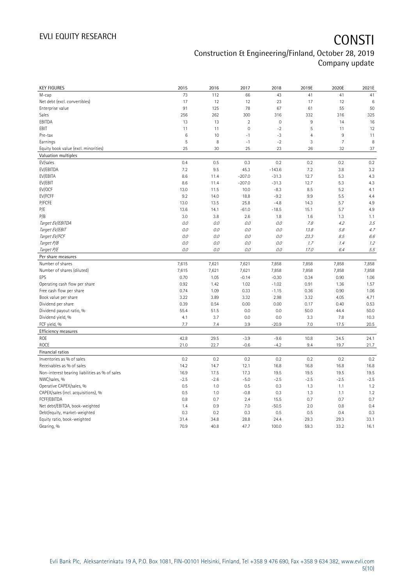| <b>KEY FIGURES</b>                             | 2015            | 2016          | 2017           | 2018             | 2019E          | 2020E          | 2021E        |
|------------------------------------------------|-----------------|---------------|----------------|------------------|----------------|----------------|--------------|
| M-cap                                          | 73              | 112           | 66             | 43               | 41             | 41             | 41           |
| Net debt (excl. convertibles)                  | 17              | 12            | 12             | 23               | 17             | 12             | 6            |
| Enterprise value                               | 91              | 125           | 78             | 67               | 61             | 55             | 50           |
| Sales                                          | 256             | 262           | 300            | 316              | 332            | 316            | 325          |
| EBITDA                                         | 13              | 13            | $\sqrt{2}$     | $\mathbb O$      | $\,9$          | 14             | 16           |
| EBIT                                           | 11              | 11            | $\overline{0}$ | $-2$             | $\overline{5}$ | 11             | 12           |
| Pre-tax                                        | $6\phantom{1}6$ | 10            | $-1$           | $-3$             | $\overline{4}$ | 9              | 11           |
| Earnings                                       | 5               | 8             | $-1$           | $-2$             | $\mathbf{3}$   | $\overline{7}$ | 8            |
| Equity book value (excl. minorities)           | 25              | 30            | 25             | 23               | 26             | 32             | 37           |
| Valuation multiples                            |                 |               |                |                  |                |                |              |
| EV/sales                                       | 0.4             | 0.5           | 0.3            | 0.2              | 0.2            | 0.2            | 0.2          |
| EV/EBITDA                                      | 7.2             | 9.5           | 45.3           | $-143.6$         | 7.2            | 3.8            | 3.2          |
| EV/EBITA                                       | 8.6             | 11.4          | $-207.0$       | $-31.3$          | 12.7           | 5.3            | 4.3          |
| EV/EBIT                                        | 8.6             | 11.4          | $-207.0$       | $-31.3$          | 12.7           | 5.3            | 4.3          |
| EV/OCF                                         | 13.0            | 11.5          | 10.0           | $-8.3$           | 8.5            | 5.2            | 4.1          |
| EV/FCFF                                        | 9.2             | 14.0          | 18.8           | $-9.2$           | 9.9            | 5.5            | 4.4          |
| P/FCFE                                         | 13.0            | 13.5          | 25.8           | $-4.8$           | 14.3           | 5.7            | 4.9          |
| P/E                                            | 13.6            | 14.1          | $-61.0$        | $-18.5$          | 15.1           | 5.7            | 4.9          |
| P/B                                            | 3.0             | 3.8           | 2.6            | 1.8              | 1.6            | 1.3            | 1.1          |
| Target EV/EBITDA                               | O.O             | 0.0           | 0.0            | 0.0              | 7.8            | 4.2            | 3.5          |
| Target EV/EBIT                                 | O.O             | 0.0           | 0.0            | 0.0              | 13.8           | 5.8            | 4.7          |
| Target EV/FCF                                  | O.O             | 0.0           | 0.0            | 0.0              | 23.3           | 8.5            | 6.6          |
| Target P/B                                     | O.O             | 0.0           | 0.0            | 0.0              | 1.7            | 1.4            | 1.2          |
| Target P/E                                     | $0.0$           | 0.0           | 0.0            | 0.0              | 17.0           | 6.4            | $5.5\,$      |
| Per share measures                             |                 |               |                |                  |                |                |              |
|                                                |                 |               |                |                  |                |                |              |
| Number of shares                               |                 |               |                |                  |                |                |              |
|                                                | 7,615           | 7,621         | 7,621          | 7,858            | 7,858          | 7,858          | 7,858        |
| Number of shares (diluted)<br>EPS              | 7,615<br>0.70   | 7,621<br>1.05 | 7,621          | 7,858<br>$-0.30$ | 7,858          | 7,858<br>0.90  | 7,858        |
|                                                |                 |               | $-0.14$        |                  | 0.34           |                | 1.06         |
| Operating cash flow per share                  | 0.92<br>0.74    | 1.42<br>1.09  | 1.02           | $-1.02$          | 0.91           | 1.36<br>0.90   | 1.57<br>1.06 |
| Free cash flow per share                       |                 |               | 0.33           | $-1.15$          | 0.36           |                |              |
| Book value per share                           | 3.22            | 3.89          | 3.32           | 2.98             | 3.32           | 4.05           | 4.71         |
| Dividend per share                             | 0.39            | 0.54          | 0.00           | 0.00             | 0.17           | 0.40           | 0.53         |
| Dividend payout ratio, %                       | 55.4            | 51.5          | 0.0            | 0.0              | 50.0           | 44.4           | 50.0         |
| Dividend yield, %                              | 4.1             | 3.7           | 0.0            | 0.0              | 3.3            | 7.8            | 10.3         |
| FCF yield, %                                   | 7.7             | 7.4           | 3.9            | $-20.9$          | 7.0            | 17.5           | 20.5         |
| Efficiency measures                            |                 |               |                |                  |                |                |              |
| ROE                                            | 42.8            | 29.5          | $-3.9$         | $-9.6$           | 10.8           | 24.5           | 24.1         |
| ROCE                                           | 21.0            | 22.7          | $-0.6$         | $-4.2$           | 9.4            | 19.7           | 21.7         |
| Financial ratios                               |                 |               |                |                  |                |                |              |
| Inventories as % of sales                      | 0.2             | 0.2           | 0.2            | 0.2              | 0.2            | 0.2            | 0.2          |
| Receivables as % of sales                      | 14.2            | 14.7          | 12.1           | 16.8             | 16.8           | 16.8           | 16.8         |
| Non-interest bearing liabilities as % of sales | 16.9            | 17.5          | 17.3           | 19.5             | 19.5           | 19.5           | 19.5         |
| NWC/sales, %                                   | $-2.5$          | $-2.6$        | $-5.0$         | $-2.5$           | $-2.5$         | $-2.5$         | $-2.5$       |
| Operative CAPEX/sales, %                       | 0.5             | 1.0           | 0.5            | 0.3              | 1.3            | 1.1            | 1.2          |
| CAPEX/sales (incl. acquisitions), %            | 0.5             | 1.0           | $-0.8$         | 0.3              | 1.3            | 1.1            | 1.2          |
| FCFF/EBITDA                                    | 0.8             | 0.7           | 2.4            | 15.5             | 0.7            | 0.7            | 0.7          |
| Net debt/EBITDA, book-weighted                 | 1.4             | 0.9           | 7.0            | $-50.5$          | 2.0            | 0.8            | 0.4          |
| Debt/equity, market-weighted                   | 0.3             | 0.2           | 0.3            | 0.5              | 0.5            | 0.4            | 0.3          |
| Equity ratio, book-weighted<br>Gearing, %      | 31.4<br>70.9    | 34.8<br>40.8  | 28.8<br>47.7   | 24.4<br>100.0    | 29.3<br>59.3   | 29.3<br>33.2   | 33.1<br>16.1 |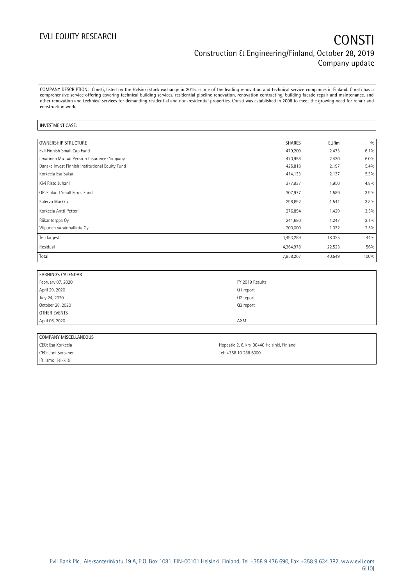COMPANY DESCRIPTION: Consti, listed on the Helsinki stock exchange in 2015, is one of the leading renovation and technical service companies in Finland. Consti has a comprehensive service offering covering technical building services, residential pipeline renovation, renovation contracting, building facade repair and maintenance, and other renovation and technical services for demanding residential and non-residential properties. Consti was established in 2008 to meet the growing need for repair and construction work.

### INVESTMENT CASE:

| <b>OWNERSHIP STRUCTURE</b>                      | <b>SHARES</b> | <b>EURm</b> | 0/0  |
|-------------------------------------------------|---------------|-------------|------|
| Evli Finnish Small Cap Fund                     | 479,200       | 2.473       | 6.1% |
| Ilmarinen Mutual Pension Insurance Company      | 470,958       | 2.430       | 6.0% |
| Danske Invest Finnish Institutional Equity Fund | 425,818       | 2.197       | 5.4% |
| Korkeela Esa Sakari                             | 414,133       | 2.137       | 5.3% |
| Kivi Risto Juhani                               | 377,937       | 1.950       | 4.8% |
| OP-Finland Small Firms Fund                     | 307,977       | 1.589       | 3.9% |
| Kalervo Markku                                  | 298,692       | 1.541       | 3.8% |
| Korkeela Antti Petteri                          | 276,894       | 1.429       | 3.5% |
| Riikantorppa Oy                                 | 241,680       | 1.247       | 3.1% |
| Wipunen varainhallinta Oy                       | 200,000       | 1.032       | 2.5% |
| Ten largest                                     | 3,493,289     | 18.025      | 44%  |
| Residual                                        | 4,364,978     | 22.523      | 56%  |
| Total                                           | 7,858,267     | 40.549      | 100% |

| <b>EARNINGS CALENDAR</b> |                 |
|--------------------------|-----------------|
| February 07, 2020        | FY 2019 Results |
| April 29, 2020           | Q1 report       |
| July 24, 2020            | Q2 report       |
| October 28, 2020         | Q3 report       |
| OTHER EVENTS             |                 |
| April 06, 2020           | AGM             |
|                          |                 |

| COMPANY MISCELLANEOUS |                                             |
|-----------------------|---------------------------------------------|
| CEO: Esa Korkeela     | Hopeatie 2, 6. krs, 00440 Helsinki, Finland |
| CFO: Joni Sorsanen    | Tel: +358 10 288 6000                       |
| IR: Ismo Heikkilä     |                                             |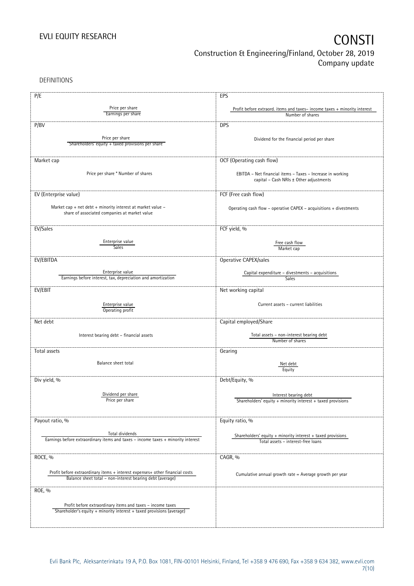DEFINITIONS

| P/E                                                                                                                                 | EPS                                                                                                   |
|-------------------------------------------------------------------------------------------------------------------------------------|-------------------------------------------------------------------------------------------------------|
|                                                                                                                                     |                                                                                                       |
| Price per share<br>Earnings per share                                                                                               | Profit before extraord. items and taxes-income taxes + minority interest                              |
|                                                                                                                                     | Number of shares                                                                                      |
| P/BV                                                                                                                                | <b>DPS</b>                                                                                            |
|                                                                                                                                     |                                                                                                       |
| Price per share                                                                                                                     | Dividend for the financial period per share                                                           |
| Shareholders' equity + taxed provisions per share                                                                                   |                                                                                                       |
|                                                                                                                                     |                                                                                                       |
| Market cap                                                                                                                          | OCF (Operating cash flow)                                                                             |
|                                                                                                                                     |                                                                                                       |
| Price per share * Number of shares                                                                                                  | EBITDA - Net financial items - Taxes - Increase in working                                            |
|                                                                                                                                     | capital - Cash NRIs ± Other adjustments                                                               |
|                                                                                                                                     |                                                                                                       |
| EV (Enterprise value)                                                                                                               | FCF (Free cash flow)                                                                                  |
|                                                                                                                                     |                                                                                                       |
| Market cap + net debt + minority interest at market value $-$                                                                       | Operating cash flow - operative CAPEX - acquisitions + divestments                                    |
| share of associated companies at market value                                                                                       |                                                                                                       |
|                                                                                                                                     |                                                                                                       |
| EV/Sales                                                                                                                            | FCF yield, %                                                                                          |
|                                                                                                                                     |                                                                                                       |
| Enterprise value                                                                                                                    | Free cash flow                                                                                        |
| Sales                                                                                                                               | Market cap                                                                                            |
|                                                                                                                                     |                                                                                                       |
| EV/EBITDA                                                                                                                           | Operative CAPEX/sales                                                                                 |
| Enterprise value                                                                                                                    | Capital expenditure - divestments - acquisitions                                                      |
| Earnings before interest, tax, depreciation and amortization                                                                        | Sales                                                                                                 |
|                                                                                                                                     |                                                                                                       |
| EV/EBIT                                                                                                                             | Net working capital                                                                                   |
|                                                                                                                                     |                                                                                                       |
| Enterprise value                                                                                                                    | Current assets - current liabilities                                                                  |
| Operating profit                                                                                                                    |                                                                                                       |
| Net debt                                                                                                                            | Capital employed/Share                                                                                |
|                                                                                                                                     |                                                                                                       |
| Interest bearing debt - financial assets                                                                                            | Total assets - non-interest bearing debt                                                              |
|                                                                                                                                     | Number of shares                                                                                      |
| Total assets                                                                                                                        | Gearing                                                                                               |
|                                                                                                                                     |                                                                                                       |
| Balance sheet total                                                                                                                 | Net debt                                                                                              |
|                                                                                                                                     | Equity                                                                                                |
|                                                                                                                                     |                                                                                                       |
| Div yield, %                                                                                                                        | Debt/Equity, %                                                                                        |
|                                                                                                                                     |                                                                                                       |
| Dividend per share<br>Price per share                                                                                               | Interest bearing debt                                                                                 |
|                                                                                                                                     | Shareholders' equity + minority interest + taxed provisions                                           |
|                                                                                                                                     |                                                                                                       |
|                                                                                                                                     |                                                                                                       |
| Payout ratio, %                                                                                                                     | Equity ratio, %                                                                                       |
| Total dividends                                                                                                                     |                                                                                                       |
| Earnings before extraordinary items and taxes - income taxes + minority interest                                                    | Shareholders' equity $+$ minority interest $+$ taxed provisions<br>Total assets - interest-free loans |
|                                                                                                                                     |                                                                                                       |
|                                                                                                                                     |                                                                                                       |
| ROCE, %                                                                                                                             | CAGR, %                                                                                               |
|                                                                                                                                     |                                                                                                       |
| Profit before extraordinary items + interest expenses+ other financial costs                                                        | Cumulative annual growth rate = Average growth per year                                               |
| Balance sheet total - non-interest bearing debt (average)                                                                           |                                                                                                       |
| ROE, %                                                                                                                              |                                                                                                       |
|                                                                                                                                     |                                                                                                       |
|                                                                                                                                     |                                                                                                       |
| Profit before extraordinary items and taxes - income taxes<br>Shareholder's equity + minority interest + taxed provisions (average) |                                                                                                       |
|                                                                                                                                     |                                                                                                       |
|                                                                                                                                     |                                                                                                       |
|                                                                                                                                     |                                                                                                       |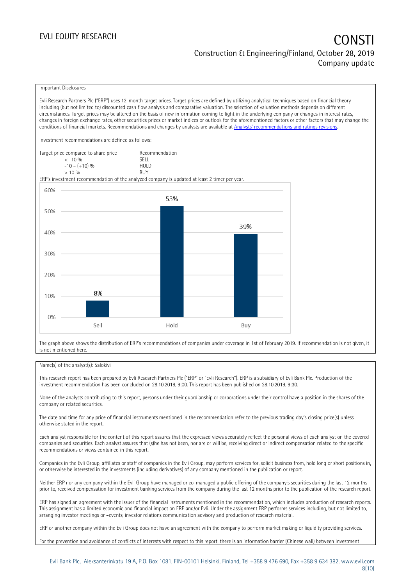### EVLI EQUITY RESEARCH **CONSTITUTE OF A CONSTITUTE OF A CONSTITUTE OF A CONSTITUTE OF A CONSTITUTE OF A CONSTITUTE** Construction & Engineering/Finland, October 28, 2019 Company update

### Important Disclosures

Evli Research Partners Plc ("ERP") uses 12-month target prices. Target prices are defined by utilizing analytical techniques based on financial theory including (but not limited to) discounted cash flow analysis and comparative valuation. The selection of valuation methods depends on different circumstances. Target prices may be altered on the basis of new information coming to light in the underlying company or changes in interest rates, changes in foreign exchange rates, other securities prices or market indices or outlook for the aforementioned factors or other factors that may change the conditions of financial markets. Recommendations and changes by analysts are available at [Analysts' recommendations and ratings revisions](https://research.evli.com/JasperAllModels.action?authParam=key;461&authParam=x;G3rNagWrtf7K&authType=3). Investment recommendations are defined as follows: Target price compared to share price Recommendation < -10 % SELL  $-10 - (+10) %$  HOL<br>  $> 10 %$  $> 10\%$ ERP's investment recommendation of the analyzed company is updated at least 2 timer per year. 60% 53% 50% 39% 40% 30% 20% 8% 10%  $0%$ Hold Sell Buy

The graph above shows the distribution of ERP's recommendations of companies under coverage in 1st of February 2019. If recommendation is not given, it is not mentioned here.

### Name(s) of the analyst(s): Salokivi

This research report has been prepared by Evli Research Partners Plc ("ERP" or "Evli Research"). ERP is a subsidiary of Evli Bank Plc. Production of the investment recommendation has been concluded on 28.10.2019, 9:00. This report has been published on 28.10.2019, 9:30.

None of the analysts contributing to this report, persons under their guardianship or corporations under their control have a position in the shares of the company or related securities.

The date and time for any price of financial instruments mentioned in the recommendation refer to the previous trading day's closing price(s) unless otherwise stated in the report.

Each analyst responsible for the content of this report assures that the expressed views accurately reflect the personal views of each analyst on the covered companies and securities. Each analyst assures that (s)he has not been, nor are or will be, receiving direct or indirect compensation related to the specific recommendations or views contained in this report.

Companies in the Evli Group, affiliates or staff of companies in the Evli Group, may perform services for, solicit business from, hold long or short positions in, or otherwise be interested in the investments (including derivatives) of any company mentioned in the publication or report.

Neither ERP nor any company within the Evli Group have managed or co-managed a public offering of the company's securities during the last 12 months prior to, received compensation for investment banking services from the company during the last 12 months prior to the publication of the research report.

ERP has signed an agreement with the issuer of the financial instruments mentioned in the recommendation, which includes production of research reports. This assignment has a limited economic and financial impact on ERP and/or Evli. Under the assignment ERP performs services including, but not limited to, arranging investor meetings or –events, investor relations communication advisory and production of research material.

ERP or another company within the Evli Group does not have an agreement with the company to perform market making or liquidity providing services.

For the prevention and avoidance of conflicts of interests with respect to this report, there is an information barrier (Chinese wall) between Investment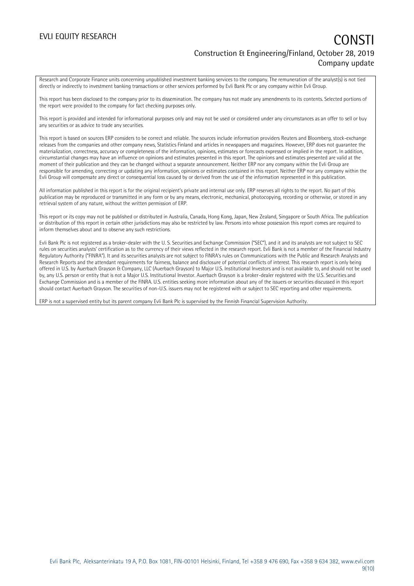### EVLI EQUITY RESEARCH **CONSTITUTE OF A CONSTITUTE OF A CONSTITUTE OF A CONSTITUTE OF A CONSTITUTE OF A CONSTITUTE** Construction & Engineering/Finland, October 28, 2019 Company update

Research and Corporate Finance units concerning unpublished investment banking services to the company. The remuneration of the analyst(s) is not tied directly or indirectly to investment banking transactions or other services performed by Evli Bank Plc or any company within Evli Group.

This report has been disclosed to the company prior to its dissemination. The company has not made any amendments to its contents. Selected portions of the report were provided to the company for fact checking purposes only.

This report is provided and intended for informational purposes only and may not be used or considered under any circumstances as an offer to sell or buy any securities or as advice to trade any securities.

This report is based on sources ERP considers to be correct and reliable. The sources include information providers Reuters and Bloomberg, stock-exchange releases from the companies and other company news, Statistics Finland and articles in newspapers and magazines. However, ERP does not guarantee the materialization, correctness, accuracy or completeness of the information, opinions, estimates or forecasts expressed or implied in the report. In addition, circumstantial changes may have an influence on opinions and estimates presented in this report. The opinions and estimates presented are valid at the moment of their publication and they can be changed without a separate announcement. Neither ERP nor any company within the Evli Group are responsible for amending, correcting or updating any information, opinions or estimates contained in this report. Neither ERP nor any company within the Evli Group will compensate any direct or consequential loss caused by or derived from the use of the information represented in this publication.

All information published in this report is for the original recipient's private and internal use only. ERP reserves all rights to the report. No part of this publication may be reproduced or transmitted in any form or by any means, electronic, mechanical, photocopying, recording or otherwise, or stored in any retrieval system of any nature, without the written permission of ERP.

This report or its copy may not be published or distributed in Australia, Canada, Hong Kong, Japan, New Zealand, Singapore or South Africa. The publication or distribution of this report in certain other jurisdictions may also be restricted by law. Persons into whose possession this report comes are required to inform themselves about and to observe any such restrictions.

Evli Bank Plc is not registered as a broker-dealer with the U. S. Securities and Exchange Commission ("SEC"), and it and its analysts are not subject to SEC rules on securities analysts' certification as to the currency of their views reflected in the research report. Evli Bank is not a member of the Financial Industry Regulatory Authority ("FINRA"). It and its securities analysts are not subject to FINRA's rules on Communications with the Public and Research Analysts and Research Reports and the attendant requirements for fairness, balance and disclosure of potential conflicts of interest. This research report is only being offered in U.S. by Auerbach Grayson & Company, LLC (Auerbach Grayson) to Major U.S. Institutional Investors and is not available to, and should not be used by, any U.S. person or entity that is not a Major U.S. Institutional Investor. Auerbach Grayson is a broker-dealer registered with the U.S. Securities and Exchange Commission and is a member of the FINRA. U.S. entities seeking more information about any of the issuers or securities discussed in this report should contact Auerbach Grayson. The securities of non-U.S. issuers may not be registered with or subject to SEC reporting and other requirements.

ERP is not a supervised entity but its parent company Evli Bank Plc is supervised by the Finnish Financial Supervision Authority.